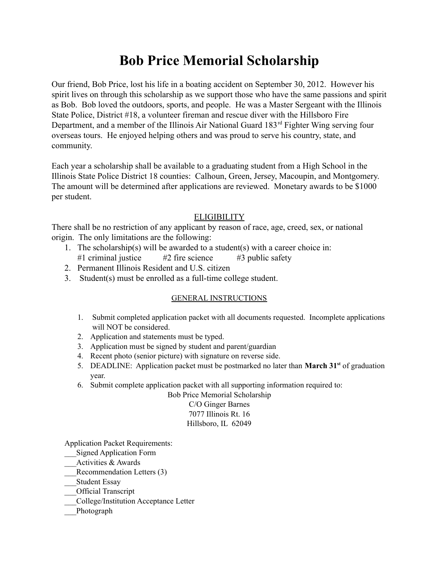Our friend, Bob Price, lost his life in a boating accident on September 30, 2012. However his spirit lives on through this scholarship as we support those who have the same passions and spirit as Bob. Bob loved the outdoors, sports, and people. He was a Master Sergeant with the Illinois State Police, District #18, a volunteer fireman and rescue diver with the Hillsboro Fire Department, and a member of the Illinois Air National Guard 183rd Fighter Wing serving four overseas tours. He enjoyed helping others and was proud to serve his country, state, and community.

Each year a scholarship shall be available to a graduating student from a High School in the Illinois State Police District 18 counties: Calhoun, Green, Jersey, Macoupin, and Montgomery. The amount will be determined after applications are reviewed. Monetary awards to be \$1000 per student.

## **ELIGIBILITY**

There shall be no restriction of any applicant by reason of race, age, creed, sex, or national origin. The only limitations are the following:

- 1. The scholarship(s) will be awarded to a student(s) with a career choice in: #1 criminal justice  $#2$  fire science  $#3$  public safety
- 2. Permanent Illinois Resident and U.S. citizen
- 3. Student(s) must be enrolled as a full-time college student.

## GENERAL INSTRUCTIONS

- 1. Submit completed application packet with all documents requested. Incomplete applications will NOT be considered.
- 2. Application and statements must be typed.
- 3. Application must be signed by student and parent/guardian
- 4. Recent photo (senior picture) with signature on reverse side.
- 5. DEADLINE: Application packet must be postmarked no later than **March 31 st** of graduation year.
- 6. Submit complete application packet with all supporting information required to:

Bob Price Memorial Scholarship C/O Ginger Barnes 7077 Illinois Rt. 16 Hillsboro, IL 62049

Application Packet Requirements:

- \_\_\_Signed Application Form
- \_\_\_Activities & Awards
- Recommendation Letters (3)
- \_\_\_Student Essay
- \_\_\_Official Transcript
- \_\_\_College/Institution Acceptance Letter
- \_\_\_Photograph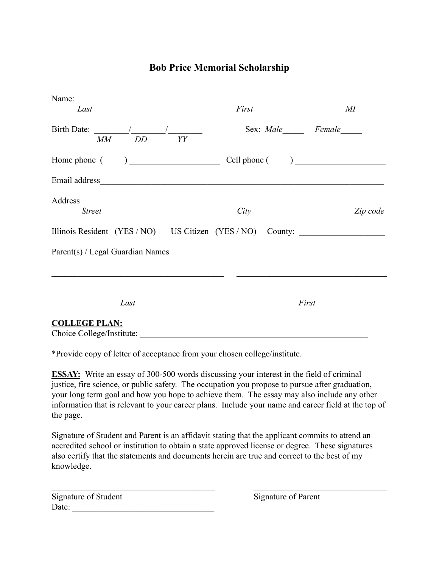| Last                                                                              | First              | $M\!I$   |  |  |
|-----------------------------------------------------------------------------------|--------------------|----------|--|--|
| Birth Date: $\frac{1}{\sqrt{1-\frac{1}{2}} \cdot \frac{1}{2}}$<br>$MM$ $DD$<br>YY | Sex: Male Female   |          |  |  |
|                                                                                   | $Cell$ phone $($ ) |          |  |  |
|                                                                                   |                    |          |  |  |
|                                                                                   |                    |          |  |  |
| <b>Street</b>                                                                     | City               | Zip code |  |  |
| Illinois Resident (YES / NO) US Citizen (YES / NO) County:                        |                    |          |  |  |
| Parent(s) / Legal Guardian Names                                                  |                    |          |  |  |
|                                                                                   |                    |          |  |  |
| Last                                                                              |                    | First    |  |  |
| <b>COLLEGE PLAN:</b><br>Choice College/Institute:                                 |                    |          |  |  |

\*Provide copy of letter of acceptance from your chosen college/institute.

**ESSAY:** Write an essay of 300-500 words discussing your interest in the field of criminal justice, fire science, or public safety. The occupation you propose to pursue after graduation, your long term goal and how you hope to achieve them. The essay may also include any other information that is relevant to your career plans. Include your name and career field at the top of the page.

Signature of Student and Parent is an affidavit stating that the applicant commits to attend an accredited school or institution to obtain a state approved license or degree. These signatures also certify that the statements and documents herein are true and correct to the best of my knowledge.

 $\mathcal{L}_\text{max} = \mathcal{L}_\text{max} = \mathcal{L}_\text{max} = \mathcal{L}_\text{max} = \mathcal{L}_\text{max} = \mathcal{L}_\text{max} = \mathcal{L}_\text{max} = \mathcal{L}_\text{max} = \mathcal{L}_\text{max} = \mathcal{L}_\text{max} = \mathcal{L}_\text{max} = \mathcal{L}_\text{max} = \mathcal{L}_\text{max} = \mathcal{L}_\text{max} = \mathcal{L}_\text{max} = \mathcal{L}_\text{max} = \mathcal{L}_\text{max} = \mathcal{L}_\text{max} = \mathcal{$ 

| Signature of Student |  |
|----------------------|--|
| Date:                |  |

Signature of Parent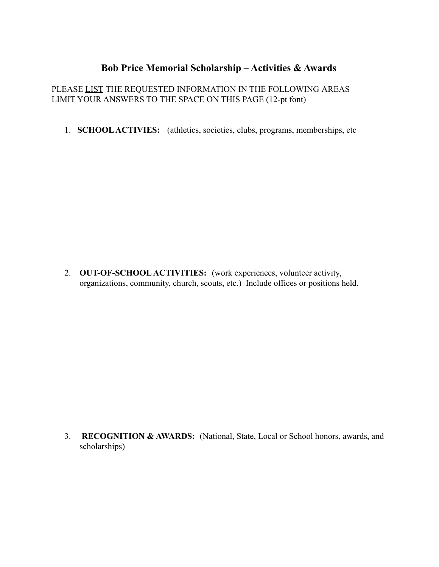# **Bob Price Memorial Scholarship – Activities & Awards**

## PLEASE LIST THE REQUESTED INFORMATION IN THE FOLLOWING AREAS LIMIT YOUR ANSWERS TO THE SPACE ON THIS PAGE (12-pt font)

1. **SCHOOLACTIVIES:** (athletics, societies, clubs, programs, memberships, etc

2. **OUT-OF-SCHOOL ACTIVITIES:** (work experiences, volunteer activity, organizations, community, church, scouts, etc.) Include offices or positions held.

3. **RECOGNITION & AWARDS:** (National, State, Local or School honors, awards, and scholarships)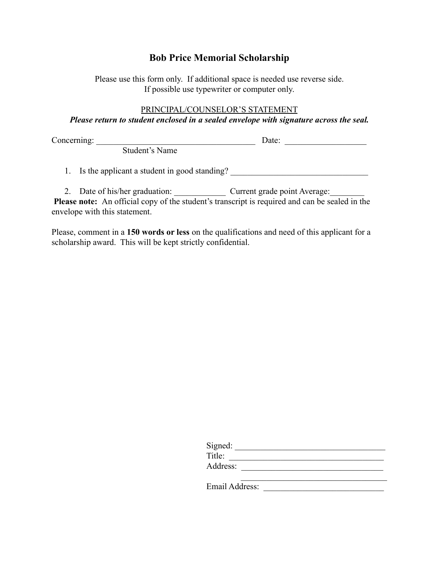Please use this form only. If additional space is needed use reverse side. If possible use typewriter or computer only.

#### PRINCIPAL/COUNSELOR'S STATEMENT

*Please return to student enclosed in a sealed envelope with signature across the seal.*

Concerning: <u>Date:</u>  $\Box$ 

Student's Name

1. Is the applicant a student in good standing?

2. Date of his/her graduation: Current grade point Average:

**Please note:** An official copy of the student's transcript is required and can be sealed in the envelope with this statement.

Please, comment in a **150 words or less** on the qualifications and need of this applicant for a scholarship award. This will be kept strictly confidential.

| Signed:        |  |
|----------------|--|
| Title:         |  |
| Address:       |  |
|                |  |
| Email Address: |  |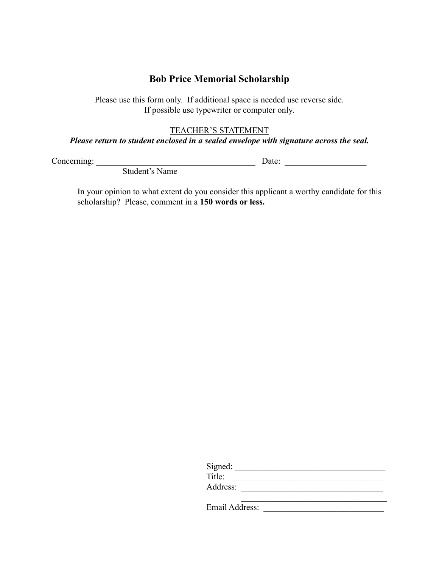Please use this form only. If additional space is needed use reverse side. If possible use typewriter or computer only.

#### TEACHER'S STATEMENT

## *Please return to student enclosed in a sealed envelope with signature across the seal.*

Concerning: \_\_\_\_\_\_\_\_\_\_\_\_\_\_\_\_\_\_\_\_\_\_\_\_\_\_\_\_\_\_\_\_\_\_\_\_\_ Date: \_\_\_\_\_\_\_\_\_\_\_\_\_\_\_\_\_\_\_

Student's Name

In your opinion to what extent do you consider this applicant a worthy candidate for this scholarship? Please, comment in a **150 words or less.**

| Signed:        |  |
|----------------|--|
| Title:         |  |
| Address:       |  |
|                |  |
| Email Address: |  |